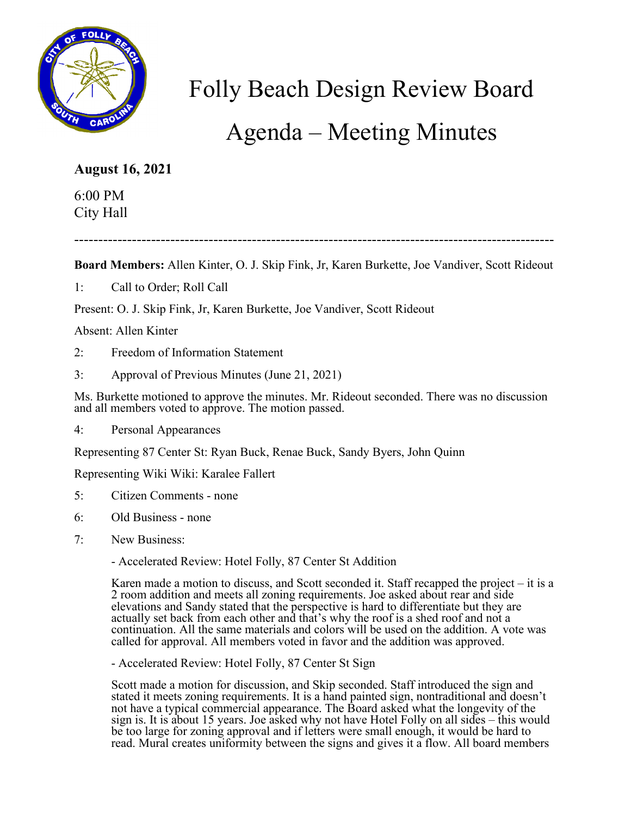

## Folly Beach Design Review Board

## Agenda – Meeting Minutes

## **August 16, 2021**

6:00 PM City Hall

----------------------------------------------------------------------------------------------------

**Board Members:** Allen Kinter, O. J. Skip Fink, Jr, Karen Burkette, Joe Vandiver, Scott Rideout

1: Call to Order; Roll Call

Present: O. J. Skip Fink, Jr, Karen Burkette, Joe Vandiver, Scott Rideout

Absent: Allen Kinter

- 2: Freedom of Information Statement
- 3: Approval of Previous Minutes (June 21, 2021)

Ms. Burkette motioned to approve the minutes. Mr. Rideout seconded. There was no discussion and all members voted to approve. The motion passed.

4: Personal Appearances

Representing 87 Center St: Ryan Buck, Renae Buck, Sandy Byers, John Quinn

Representing Wiki Wiki: Karalee Fallert

- 5: Citizen Comments none
- 6: Old Business none
- 7: New Business:
	- Accelerated Review: Hotel Folly, 87 Center St Addition

Karen made a motion to discuss, and Scott seconded it. Staff recapped the project – it is a 2 room addition and meets all zoning requirements. Joe asked about rear and side elevations and Sandy stated that the perspective is hard to differentiate but they are actually set back from each other and that's why the roof is a shed roof and not a continuation. All the same materials and colors will be used on the addition. A vote was called for approval. All members voted in favor and the addition was approved.

- Accelerated Review: Hotel Folly, 87 Center St Sign

Scott made a motion for discussion, and Skip seconded. Staff introduced the sign and stated it meets zoning requirements. It is a hand painted sign, nontraditional and doesn't not have a typical commercial appearance. The Board asked what the longevity of the sign is. It is about 15 years. Joe asked why not have Hotel Folly on all sides – this would be too large for zoning approval and if letters were small enough, it would be hard to read. Mural creates uniformity between the signs and gives it a flow. All board members